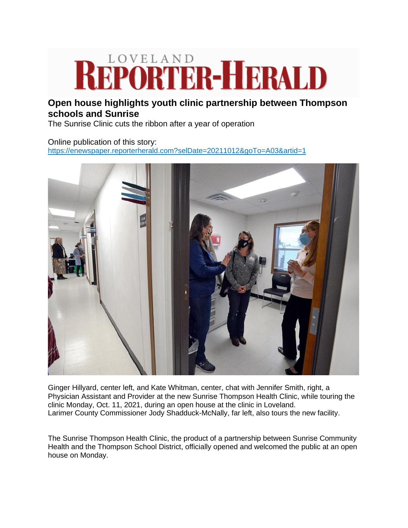## **Open house highlights youth clinic partnership between Thompson**

## **schools and Sunrise**

The Sunrise Clinic cuts the ribbon after a year of operation

## Online publication of this story: [https://enewspaper.reporterherald.com?selDate=20211012&goTo=A03&artid=1](https://nam04.safelinks.protection.outlook.com/?url=https%3A%2F%2Fenewspaper.reporterherald.com%2F%3FselDate%3D20211012%26goTo%3DA03%26artid%3D1&data=04%7C01%7Cmaureen%40cchn.org%7Ca2dd989525d74770f23b08d99341f632%7C2e4fd05cee014c70acc910de0e037f55%7C1%7C1%7C637702733792177622%7CUnknown%7CTWFpbGZsb3d8eyJWIjoiMC4wLjAwMDAiLCJQIjoiV2luMzIiLCJBTiI6Ik1haWwiLCJXVCI6Mn0%3D%7C1000&sdata=GWfoS2xdawr32KSCIi0KuKDy3FzmY5vuVBbiK3b606o%3D&reserved=0)



Ginger Hillyard, center left, and Kate Whitman, center, chat with Jennifer Smith, right, a Physician Assistant and Provider at the new Sunrise Thompson Health Clinic, while touring the clinic Monday, Oct. 11, 2021, during an open house at the clinic in Loveland. Larimer County Commissioner Jody Shadduck-McNally, far left, also tours the new facility.

The Sunrise Thompson Health Clinic, the product of a partnership between Sunrise Community Health and the Thompson School District, officially opened and welcomed the public at an open house on Monday.